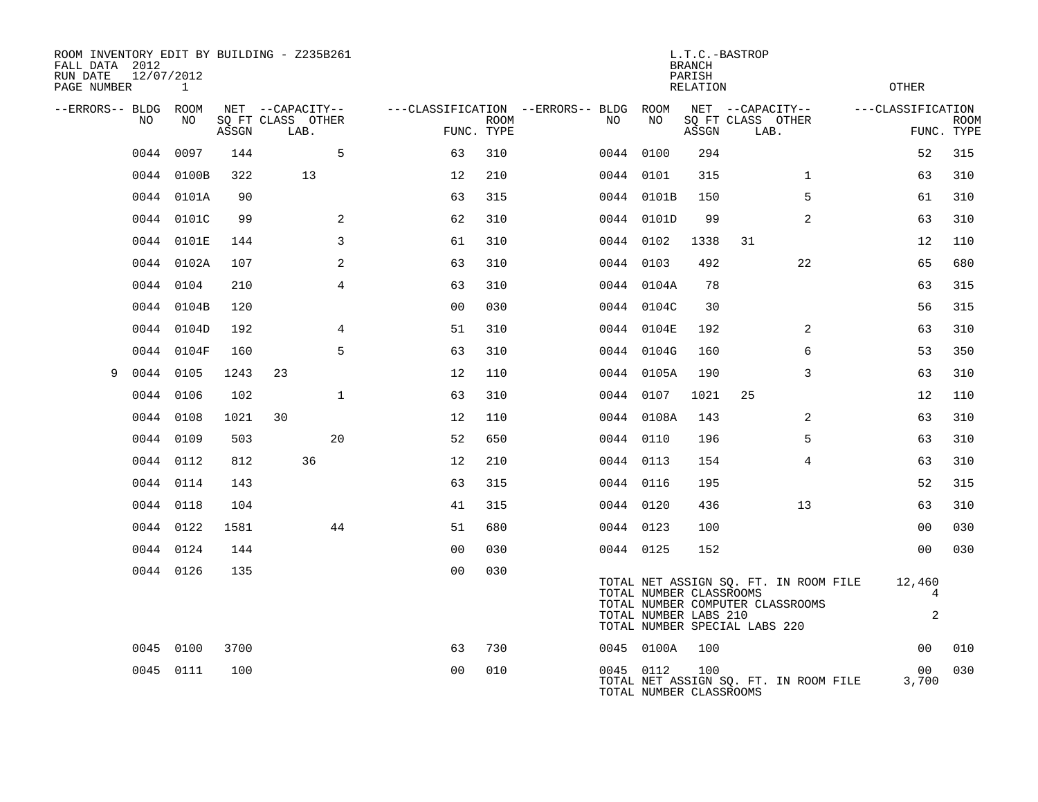| ROOM INVENTORY EDIT BY BUILDING - Z235B261<br>FALL DATA 2012<br>RUN DATE<br>12/07/2012<br>PAGE NUMBER | $\mathbf{1}$ |       |                           |                |             |                                        |                                                  | <b>BRANCH</b><br>PARISH<br><b>RELATION</b> | L.T.C.-BASTROP                                                                                             |                | <b>OTHER</b>                  |                           |
|-------------------------------------------------------------------------------------------------------|--------------|-------|---------------------------|----------------|-------------|----------------------------------------|--------------------------------------------------|--------------------------------------------|------------------------------------------------------------------------------------------------------------|----------------|-------------------------------|---------------------------|
| --ERRORS-- BLDG ROOM                                                                                  |              |       | NET --CAPACITY--          |                |             | ---CLASSIFICATION --ERRORS-- BLDG ROOM |                                                  |                                            | NET --CAPACITY--                                                                                           |                | ---CLASSIFICATION             |                           |
| NO.                                                                                                   | NO           | ASSGN | SQ FT CLASS OTHER<br>LAB. | FUNC. TYPE     | <b>ROOM</b> | NO.                                    | NO                                               | ASSGN                                      | SQ FT CLASS OTHER<br>LAB.                                                                                  |                |                               | <b>ROOM</b><br>FUNC. TYPE |
| 0044                                                                                                  | 0097         | 144   | 5                         | 63             | 310         |                                        | 0044 0100                                        | 294                                        |                                                                                                            |                | 52                            | 315                       |
|                                                                                                       | 0044 0100B   | 322   | 13                        | 12             | 210         |                                        | 0044 0101                                        | 315                                        |                                                                                                            | $\mathbf{1}$   | 63                            | 310                       |
|                                                                                                       | 0044 0101A   | 90    |                           | 63             | 315         |                                        | 0044 0101B                                       | 150                                        |                                                                                                            | 5              | 61                            | 310                       |
| 0044                                                                                                  | 0101C        | 99    | 2                         | 62             | 310         |                                        | 0044 0101D                                       | 99                                         |                                                                                                            | $\overline{a}$ | 63                            | 310                       |
|                                                                                                       | 0044 0101E   | 144   | 3                         | 61             | 310         |                                        | 0044 0102                                        | 1338                                       | 31                                                                                                         |                | 12                            | 110                       |
|                                                                                                       | 0044 0102A   | 107   | 2                         | 63             | 310         |                                        | 0044 0103                                        | 492                                        |                                                                                                            | 22             | 65                            | 680                       |
|                                                                                                       | 0044 0104    | 210   | $\overline{4}$            | 63             | 310         |                                        | 0044 0104A                                       | 78                                         |                                                                                                            |                | 63                            | 315                       |
|                                                                                                       | 0044 0104B   | 120   |                           | 00             | 030         |                                        | 0044 0104C                                       | 30                                         |                                                                                                            |                | 56                            | 315                       |
|                                                                                                       | 0044 0104D   | 192   | $\overline{4}$            | 51             | 310         |                                        | 0044 0104E                                       | 192                                        |                                                                                                            | $\overline{2}$ | 63                            | 310                       |
|                                                                                                       | 0044 0104F   | 160   | 5                         | 63             | 310         |                                        | 0044 0104G                                       | 160                                        |                                                                                                            | 6              | 53                            | 350                       |
| 0044 0105<br>9                                                                                        |              | 1243  | 23                        | 12             | 110         |                                        | 0044 0105A                                       | 190                                        |                                                                                                            | 3              | 63                            | 310                       |
| 0044                                                                                                  | 0106         | 102   | $\mathbf{1}$              | 63             | 310         |                                        | 0044 0107                                        | 1021                                       | 25                                                                                                         |                | 12                            | 110                       |
|                                                                                                       | 0044 0108    | 1021  | 30                        | 12             | 110         |                                        | 0044 0108A                                       | 143                                        |                                                                                                            | 2              | 63                            | 310                       |
|                                                                                                       | 0044 0109    | 503   | 20                        | 52             | 650         |                                        | 0044 0110                                        | 196                                        |                                                                                                            | 5              | 63                            | 310                       |
|                                                                                                       | 0044 0112    | 812   | 36                        | 12             | 210         |                                        | 0044 0113                                        | 154                                        |                                                                                                            | 4              | 63                            | 310                       |
|                                                                                                       | 0044 0114    | 143   |                           | 63             | 315         |                                        | 0044 0116                                        | 195                                        |                                                                                                            |                | 52                            | 315                       |
|                                                                                                       | 0044 0118    | 104   |                           | 41             | 315         |                                        | 0044 0120                                        | 436                                        |                                                                                                            | 13             | 63                            | 310                       |
|                                                                                                       | 0044 0122    | 1581  | 44                        | 51             | 680         |                                        | 0044 0123                                        | 100                                        |                                                                                                            |                | 0 <sub>0</sub>                | 030                       |
|                                                                                                       | 0044 0124    | 144   |                           | 0 <sub>0</sub> | 030         |                                        | 0044 0125                                        | 152                                        |                                                                                                            |                | 0 <sub>0</sub>                | 030                       |
|                                                                                                       | 0044 0126    | 135   |                           | 0 <sub>0</sub> | 030         |                                        | TOTAL NUMBER CLASSROOMS<br>TOTAL NUMBER LABS 210 |                                            | TOTAL NET ASSIGN SQ. FT. IN ROOM FILE<br>TOTAL NUMBER COMPUTER CLASSROOMS<br>TOTAL NUMBER SPECIAL LABS 220 |                | 12,460<br>4<br>$\overline{a}$ |                           |
|                                                                                                       | 0045 0100    | 3700  |                           | 63             | 730         |                                        | 0045 0100A                                       | 100                                        |                                                                                                            |                | 0 <sub>0</sub>                | 010                       |
|                                                                                                       | 0045 0111    | 100   |                           | 0 <sub>0</sub> | 010         |                                        | 0045 0112<br>TOTAL NUMBER CLASSROOMS             | 100                                        | TOTAL NET ASSIGN SQ. FT. IN ROOM FILE                                                                      |                | 00<br>3,700                   | 030                       |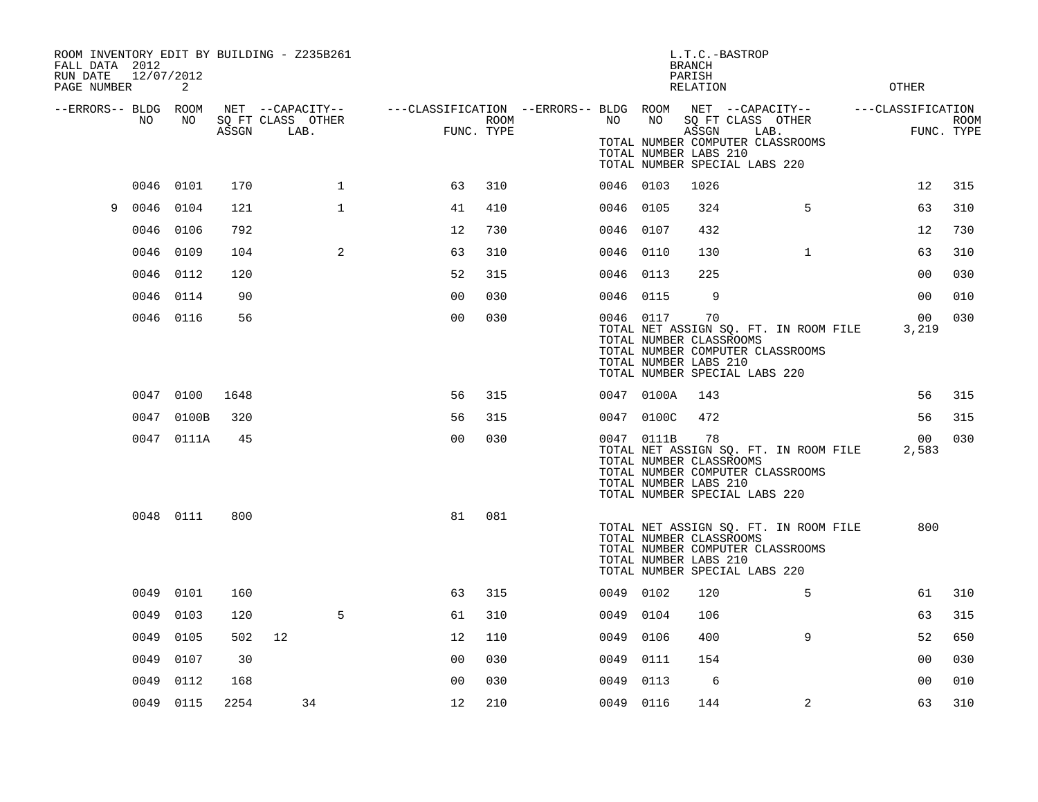| ROOM INVENTORY EDIT BY BUILDING - Z235B261<br>FALL DATA 2012<br>RUN DATE<br>PAGE NUMBER | 12/07/2012 | 2          |       |                                               |              |                                                                       |      |           |            | L.T.C.-BASTROP<br><b>BRANCH</b><br>PARISH<br><b>RELATION</b>                            |      |                                                                           | <b>OTHER</b>      |                           |
|-----------------------------------------------------------------------------------------|------------|------------|-------|-----------------------------------------------|--------------|-----------------------------------------------------------------------|------|-----------|------------|-----------------------------------------------------------------------------------------|------|---------------------------------------------------------------------------|-------------------|---------------------------|
| --ERRORS-- BLDG ROOM                                                                    | NO         | NO         | ASSGN | NET --CAPACITY--<br>SQ FT CLASS OTHER<br>LAB. |              | ---CLASSIFICATION --ERRORS-- BLDG ROOM NET --CAPACITY--<br>FUNC. TYPE | ROOM | NO        | NO         | SQ FT CLASS OTHER<br>ASSGN<br>TOTAL NUMBER LABS 210<br>TOTAL NUMBER SPECIAL LABS 220    | LAB. | TOTAL NUMBER COMPUTER CLASSROOMS                                          | ---CLASSIFICATION | <b>ROOM</b><br>FUNC. TYPE |
|                                                                                         | 0046 0101  |            | 170   |                                               | $\mathbf 1$  | 63                                                                    | 310  | 0046 0103 |            | 1026                                                                                    |      |                                                                           | 12                | 315                       |
| 9                                                                                       | 0046       | 0104       | 121   |                                               | $\mathbf{1}$ | 41                                                                    | 410  | 0046 0105 |            | 324                                                                                     |      | 5                                                                         | 63                | 310                       |
|                                                                                         | 0046 0106  |            | 792   |                                               |              | 12                                                                    | 730  | 0046 0107 |            | 432                                                                                     |      |                                                                           | 12                | 730                       |
|                                                                                         | 0046       | 0109       | 104   |                                               | 2            | 63                                                                    | 310  | 0046 0110 |            | 130                                                                                     |      | $\mathbf{1}$                                                              | 63                | 310                       |
|                                                                                         | 0046       | 0112       | 120   |                                               |              | 52                                                                    | 315  | 0046 0113 |            | 225                                                                                     |      |                                                                           | 0 <sub>0</sub>    | 030                       |
|                                                                                         | 0046       | 0114       | 90    |                                               |              | 0 <sub>0</sub>                                                        | 030  | 0046 0115 |            | 9                                                                                       |      |                                                                           | 0 <sub>0</sub>    | 010                       |
|                                                                                         |            | 0046 0116  | 56    |                                               |              | 0 <sub>0</sub>                                                        | 030  | 0046 0117 |            | 70<br>TOTAL NUMBER CLASSROOMS<br>TOTAL NUMBER LABS 210<br>TOTAL NUMBER SPECIAL LABS 220 |      | TOTAL NET ASSIGN SQ. FT. IN ROOM FILE<br>TOTAL NUMBER COMPUTER CLASSROOMS | 00<br>3,219       | 030                       |
|                                                                                         | 0047 0100  |            | 1648  |                                               |              | 56                                                                    | 315  |           | 0047 0100A | 143                                                                                     |      |                                                                           | 56                | 315                       |
|                                                                                         |            | 0047 0100B | 320   |                                               |              | 56                                                                    | 315  |           | 0047 0100C | 472                                                                                     |      |                                                                           | 56                | 315                       |
|                                                                                         |            | 0047 0111A | 45    |                                               |              | 0 <sub>0</sub>                                                        | 030  |           | 0047 0111B | 78<br>TOTAL NUMBER CLASSROOMS<br>TOTAL NUMBER LABS 210<br>TOTAL NUMBER SPECIAL LABS 220 |      | TOTAL NET ASSIGN SQ. FT. IN ROOM FILE<br>TOTAL NUMBER COMPUTER CLASSROOMS | 00<br>2,583       | 030                       |
|                                                                                         | 0048 0111  |            | 800   |                                               |              | 81                                                                    | 081  |           |            | TOTAL NUMBER CLASSROOMS<br>TOTAL NUMBER LABS 210<br>TOTAL NUMBER SPECIAL LABS 220       |      | TOTAL NET ASSIGN SQ. FT. IN ROOM FILE<br>TOTAL NUMBER COMPUTER CLASSROOMS | 800               |                           |
|                                                                                         | 0049       | 0101       | 160   |                                               |              | 63                                                                    | 315  | 0049 0102 |            | 120                                                                                     |      | 5                                                                         | 61                | 310                       |
|                                                                                         | 0049       | 0103       | 120   |                                               | 5            | 61                                                                    | 310  | 0049      | 0104       | 106                                                                                     |      |                                                                           | 63                | 315                       |
|                                                                                         | 0049       | 0105       | 502   | 12                                            |              | 12                                                                    | 110  | 0049 0106 |            | 400                                                                                     |      | 9                                                                         | 52                | 650                       |
|                                                                                         | 0049       | 0107       | 30    |                                               |              | 0 <sub>0</sub>                                                        | 030  | 0049      | 0111       | 154                                                                                     |      |                                                                           | 00                | 030                       |
|                                                                                         | 0049       | 0112       | 168   |                                               |              | 0 <sub>0</sub>                                                        | 030  | 0049      | 0113       | 6                                                                                       |      |                                                                           | 0 <sub>0</sub>    | 010                       |
|                                                                                         | 0049 0115  |            | 2254  | 34                                            |              | 12                                                                    | 210  | 0049 0116 |            | 144                                                                                     |      | 2                                                                         | 63                | 310                       |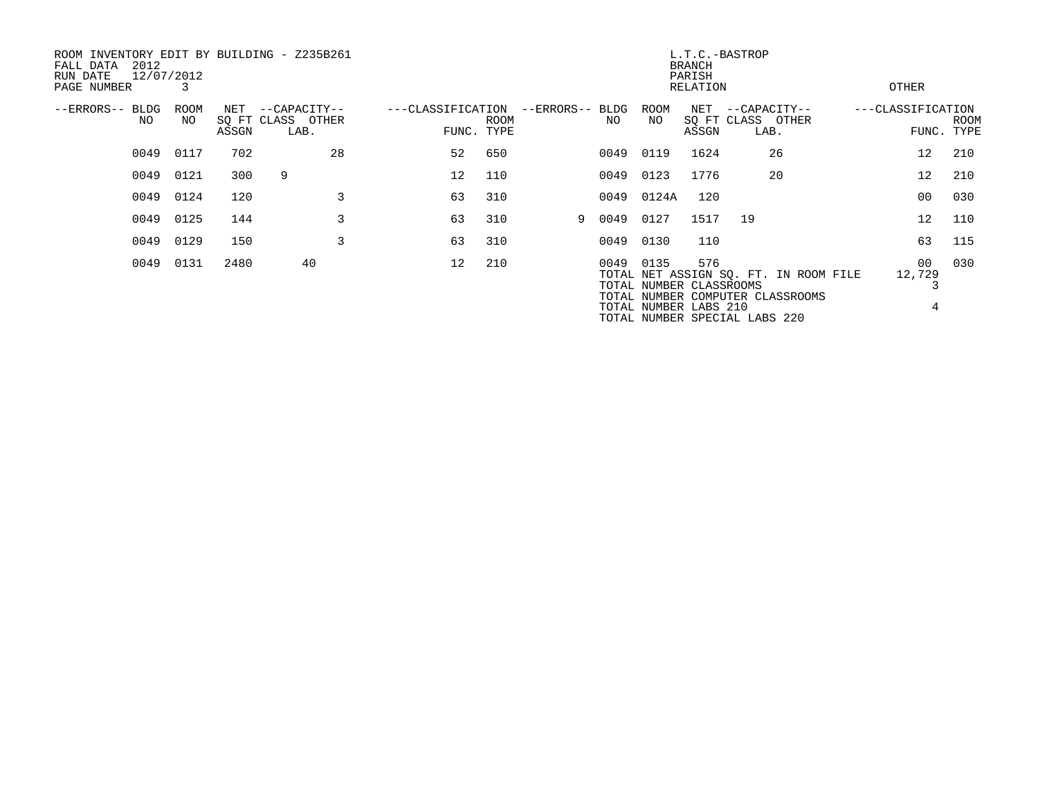| ROOM INVENTORY EDIT BY BUILDING - Z235B261<br>2012<br>FALL DATA<br>RUN DATE<br>PAGE NUMBER | 12/07/2012<br>3 |       |                                               | L.T.C.-BASTROP<br><b>BRANCH</b><br>PARISH<br>RELATION<br>OTHER |                    |                 |      |                                                               |                               |                                           |                                                                           |                   |                 |                    |
|--------------------------------------------------------------------------------------------|-----------------|-------|-----------------------------------------------|----------------------------------------------------------------|--------------------|-----------------|------|---------------------------------------------------------------|-------------------------------|-------------------------------------------|---------------------------------------------------------------------------|-------------------|-----------------|--------------------|
| --ERRORS-- BLDG<br>NO                                                                      | ROOM<br>NO.     | ASSGN | NET --CAPACITY--<br>SQ FT CLASS OTHER<br>LAB. | ---CLASSIFICATION                                              | ROOM<br>FUNC. TYPE | --ERRORS-- BLDG | NO.  | ROOM<br>NO                                                    | $\operatorname{NET}$<br>ASSGN | --CAPACITY--<br>SQ FT CLASS OTHER<br>LAB. |                                                                           | ---CLASSIFICATION |                 | ROOM<br>FUNC. TYPE |
| 0049                                                                                       | 0117            | 702   | 28                                            | 52                                                             | 650                |                 | 0049 | 0119                                                          | 1624                          |                                           | 26                                                                        |                   | 12 <sup>°</sup> | 210                |
|                                                                                            | 0049 0121       | 300   | 9                                             | 12                                                             | 110                |                 | 0049 | 0123                                                          | 1776                          |                                           | 20                                                                        |                   | 12 <sup>°</sup> | 210                |
| 0049                                                                                       | 0124            | 120   | 3                                             | 63                                                             | 310                |                 | 0049 | 0124A                                                         | 120                           |                                           |                                                                           |                   | 00              | 030                |
| 0049                                                                                       | 0125            | 144   | 3                                             | 63                                                             | 310                | 9               | 0049 | 0127                                                          | 1517                          | 19                                        |                                                                           |                   | 12 <sup>°</sup> | 110                |
| 0049                                                                                       | 0129            | 150   | 3                                             | 63                                                             | 310                |                 | 0049 | 0130                                                          | 110                           |                                           |                                                                           |                   | 63              | 115                |
| 0049                                                                                       | 0131            | 2480  | 40                                            | $12 \overline{ }$                                              | 210                |                 |      | 0049 0135<br>TOTAL NUMBER CLASSROOMS<br>TOTAL NUMBER LABS 210 | 576                           | TOTAL NUMBER SPECIAL LABS 220             | TOTAL NET ASSIGN SQ. FT. IN ROOM FILE<br>TOTAL NUMBER COMPUTER CLASSROOMS |                   | 00<br>12,729    | 030                |